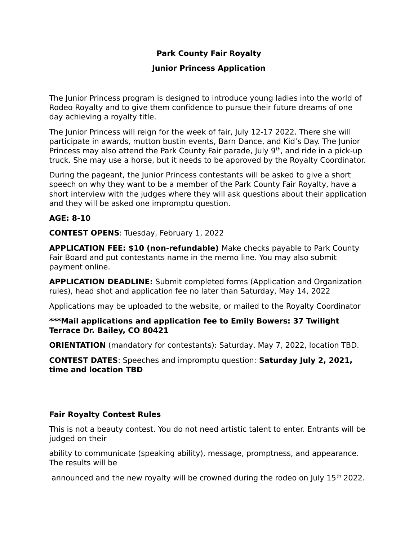# **Park County Fair Royalty**

## **Junior Princess Application**

The Junior Princess program is designed to introduce young ladies into the world of Rodeo Royalty and to give them confidence to pursue their future dreams of one day achieving a royalty title.

The Junior Princess will reign for the week of fair, July 12-17 2022. There she will participate in awards, mutton bustin events, Barn Dance, and Kid's Day. The Junior Princess may also attend the Park County Fair parade, July  $9<sup>th</sup>$ , and ride in a pick-up truck. She may use a horse, but it needs to be approved by the Royalty Coordinator.

During the pageant, the Junior Princess contestants will be asked to give a short speech on why they want to be a member of the Park County Fair Royalty, have a short interview with the judges where they will ask questions about their application and they will be asked one impromptu question.

## **AGE: 8-10**

**CONTEST OPENS**: Tuesday, February 1, 2022

**APPLICATION FEE: \$10 (non-refundable)** Make checks payable to Park County Fair Board and put contestants name in the memo line. You may also submit payment online.

**APPLICATION DEADLINE:** Submit completed forms (Application and Organization rules), head shot and application fee no later than Saturday, May 14, 2022

Applications may be uploaded to the website, or mailed to the Royalty Coordinator

### **\*\*\*Mail applications and application fee to Emily Bowers: 37 Twilight Terrace Dr. Bailey, CO 80421**

**ORIENTATION** (mandatory for contestants): Saturday, May 7, 2022, location TBD.

**CONTEST DATES**: Speeches and impromptu question: **Saturday July 2, 2021, time and location TBD**

# **Fair Royalty Contest Rules**

This is not a beauty contest. You do not need artistic talent to enter. Entrants will be judged on their

ability to communicate (speaking ability), message, promptness, and appearance. The results will be

announced and the new royalty will be crowned during the rodeo on July  $15<sup>th</sup>$  2022.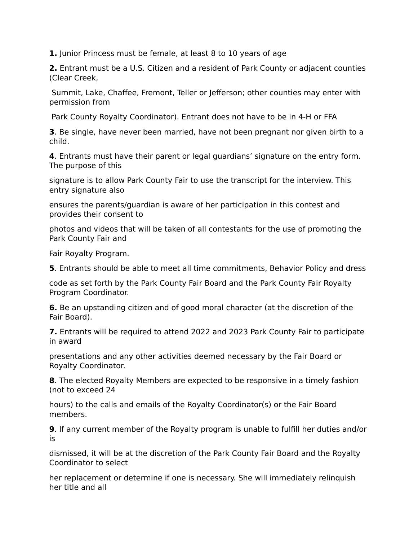**1.** Junior Princess must be female, at least 8 to 10 years of age

**2.** Entrant must be a U.S. Citizen and a resident of Park County or adjacent counties (Clear Creek,

 Summit, Lake, Chaffee, Fremont, Teller or Jefferson; other counties may enter with permission from

Park County Royalty Coordinator). Entrant does not have to be in 4-H or FFA

**3**. Be single, have never been married, have not been pregnant nor given birth to a child.

**4**. Entrants must have their parent or legal guardians' signature on the entry form. The purpose of this

signature is to allow Park County Fair to use the transcript for the interview. This entry signature also

ensures the parents/guardian is aware of her participation in this contest and provides their consent to

photos and videos that will be taken of all contestants for the use of promoting the Park County Fair and

Fair Royalty Program.

**5**. Entrants should be able to meet all time commitments, Behavior Policy and dress

code as set forth by the Park County Fair Board and the Park County Fair Royalty Program Coordinator.

**6.** Be an upstanding citizen and of good moral character (at the discretion of the Fair Board).

**7.** Entrants will be required to attend 2022 and 2023 Park County Fair to participate in award

presentations and any other activities deemed necessary by the Fair Board or Royalty Coordinator.

**8**. The elected Royalty Members are expected to be responsive in a timely fashion (not to exceed 24

hours) to the calls and emails of the Royalty Coordinator(s) or the Fair Board members.

**9**. If any current member of the Royalty program is unable to fulfill her duties and/or is

dismissed, it will be at the discretion of the Park County Fair Board and the Royalty Coordinator to select

her replacement or determine if one is necessary. She will immediately relinquish her title and all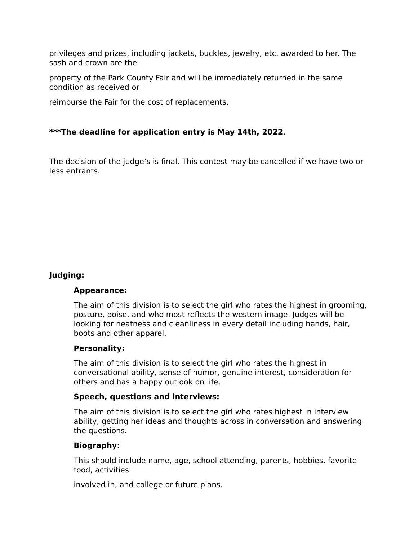privileges and prizes, including jackets, buckles, jewelry, etc. awarded to her. The sash and crown are the

property of the Park County Fair and will be immediately returned in the same condition as received or

reimburse the Fair for the cost of replacements.

## **\*\*\*The deadline for application entry is May 14th, 2022**.

The decision of the judge's is final. This contest may be cancelled if we have two or less entrants.

# **Judging:**

#### **Appearance:**

The aim of this division is to select the girl who rates the highest in grooming, posture, poise, and who most reflects the western image. Judges will be looking for neatness and cleanliness in every detail including hands, hair, boots and other apparel.

#### **Personality:**

The aim of this division is to select the girl who rates the highest in conversational ability, sense of humor, genuine interest, consideration for others and has a happy outlook on life.

#### **Speech, questions and interviews:**

The aim of this division is to select the girl who rates highest in interview ability, getting her ideas and thoughts across in conversation and answering the questions.

### **Biography:**

This should include name, age, school attending, parents, hobbies, favorite food, activities

involved in, and college or future plans.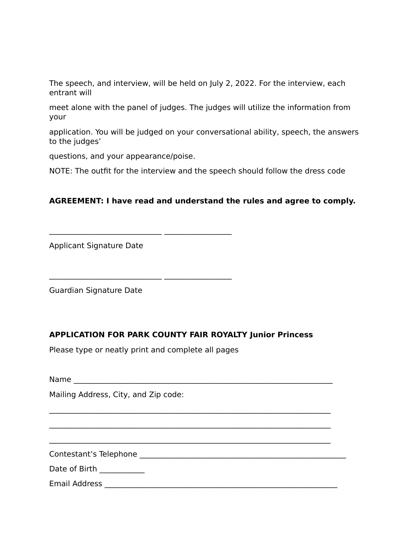The speech, and interview, will be held on July 2, 2022. For the interview, each entrant will

meet alone with the panel of judges. The judges will utilize the information from your

application. You will be judged on your conversational ability, speech, the answers to the judges'

questions, and your appearance/poise.

NOTE: The outfit for the interview and the speech should follow the dress code

## **AGREEMENT: I have read and understand the rules and agree to comply.**

Applicant Signature Date

Guardian Signature Date

# **APPLICATION FOR PARK COUNTY FAIR ROYALTY Junior Princess**

 $\mathcal{L}_\text{max} = \mathcal{L}_\text{max} = \mathcal{L}_\text{max} = \mathcal{L}_\text{max} = \mathcal{L}_\text{max} = \mathcal{L}_\text{max} = \mathcal{L}_\text{max} = \mathcal{L}_\text{max} = \mathcal{L}_\text{max} = \mathcal{L}_\text{max} = \mathcal{L}_\text{max} = \mathcal{L}_\text{max} = \mathcal{L}_\text{max} = \mathcal{L}_\text{max} = \mathcal{L}_\text{max} = \mathcal{L}_\text{max} = \mathcal{L}_\text{max} = \mathcal{L}_\text{max} = \mathcal{$ 

 $\mathcal{L}_\text{max} = \mathcal{L}_\text{max} = \mathcal{L}_\text{max} = \mathcal{L}_\text{max} = \mathcal{L}_\text{max} = \mathcal{L}_\text{max} = \mathcal{L}_\text{max} = \mathcal{L}_\text{max} = \mathcal{L}_\text{max} = \mathcal{L}_\text{max} = \mathcal{L}_\text{max} = \mathcal{L}_\text{max} = \mathcal{L}_\text{max} = \mathcal{L}_\text{max} = \mathcal{L}_\text{max} = \mathcal{L}_\text{max} = \mathcal{L}_\text{max} = \mathcal{L}_\text{max} = \mathcal{$ 

 $\mathcal{L}_\text{max} = \mathcal{L}_\text{max} = \mathcal{L}_\text{max} = \mathcal{L}_\text{max} = \mathcal{L}_\text{max} = \mathcal{L}_\text{max} = \mathcal{L}_\text{max} = \mathcal{L}_\text{max} = \mathcal{L}_\text{max} = \mathcal{L}_\text{max} = \mathcal{L}_\text{max} = \mathcal{L}_\text{max} = \mathcal{L}_\text{max} = \mathcal{L}_\text{max} = \mathcal{L}_\text{max} = \mathcal{L}_\text{max} = \mathcal{L}_\text{max} = \mathcal{L}_\text{max} = \mathcal{$ 

 $\frac{\frac{1}{2} \left( \frac{1}{2} \right) \left( \frac{1}{2} \right) \left( \frac{1}{2} \right) \left( \frac{1}{2} \right) \left( \frac{1}{2} \right) \left( \frac{1}{2} \right) \left( \frac{1}{2} \right) \left( \frac{1}{2} \right) \left( \frac{1}{2} \right) \left( \frac{1}{2} \right) \left( \frac{1}{2} \right) \left( \frac{1}{2} \right) \left( \frac{1}{2} \right) \left( \frac{1}{2} \right) \left( \frac{1}{2} \right) \left( \frac{1}{2} \right) \left($ 

Please type or neatly print and complete all pages

 $\frac{1}{2}$  ,  $\frac{1}{2}$  ,  $\frac{1}{2}$  ,  $\frac{1}{2}$  ,  $\frac{1}{2}$  ,  $\frac{1}{2}$  ,  $\frac{1}{2}$  ,  $\frac{1}{2}$  ,  $\frac{1}{2}$  ,  $\frac{1}{2}$  ,  $\frac{1}{2}$  ,  $\frac{1}{2}$  ,  $\frac{1}{2}$  ,  $\frac{1}{2}$  ,  $\frac{1}{2}$  ,  $\frac{1}{2}$  ,  $\frac{1}{2}$  ,  $\frac{1}{2}$  ,  $\frac{1$ 

| Name |  |
|------|--|
|      |  |

Mailing Address, City, and Zip code:

Contestant's Telephone \_\_\_\_\_\_\_\_\_\_\_\_\_\_\_\_\_\_\_\_\_\_\_\_\_\_\_\_\_\_\_\_\_\_\_\_\_\_\_\_\_\_\_\_\_\_\_\_\_\_\_\_\_\_\_

Date of Birth \_\_\_\_\_\_\_\_\_\_\_\_

Email Address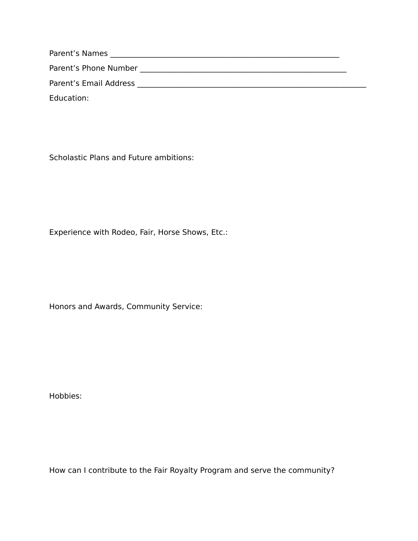Parent's Names \_\_\_\_\_\_\_\_\_\_\_\_\_\_\_\_\_\_\_\_\_\_\_\_\_\_\_\_\_\_\_\_\_\_\_\_\_\_\_\_\_\_\_\_\_\_\_\_\_\_\_\_\_\_\_\_\_\_\_\_\_ Parent's Phone Number \_\_\_\_\_\_\_\_\_\_\_\_\_\_\_\_\_\_\_\_\_\_\_\_\_\_\_\_\_\_\_\_\_\_\_\_\_\_\_\_\_\_\_\_\_\_\_\_\_\_\_\_\_\_\_ Parent's Email Address \_\_\_\_\_\_\_\_\_\_\_\_\_\_\_\_\_\_\_\_\_\_\_\_\_\_\_\_\_\_\_\_\_\_\_\_\_\_\_\_\_\_\_\_\_\_\_\_\_\_\_\_\_\_\_\_\_\_\_\_\_ Education:

Scholastic Plans and Future ambitions:

Experience with Rodeo, Fair, Horse Shows, Etc.:

Honors and Awards, Community Service:

Hobbies:

How can I contribute to the Fair Royalty Program and serve the community?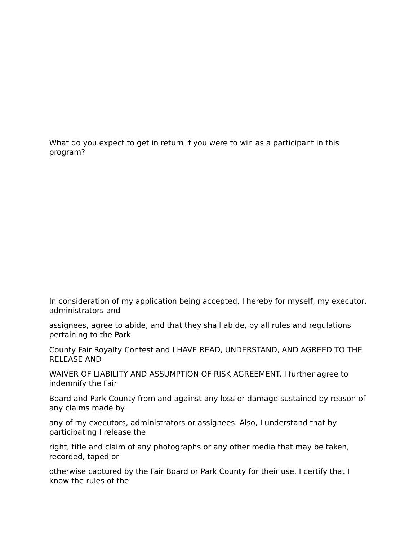What do you expect to get in return if you were to win as a participant in this program?

In consideration of my application being accepted, I hereby for myself, my executor, administrators and

assignees, agree to abide, and that they shall abide, by all rules and regulations pertaining to the Park

County Fair Royalty Contest and I HAVE READ, UNDERSTAND, AND AGREED TO THE RELEASE AND

WAIVER OF LIABILITY AND ASSUMPTION OF RISK AGREEMENT. I further agree to indemnify the Fair

Board and Park County from and against any loss or damage sustained by reason of any claims made by

any of my executors, administrators or assignees. Also, I understand that by participating I release the

right, title and claim of any photographs or any other media that may be taken, recorded, taped or

otherwise captured by the Fair Board or Park County for their use. I certify that I know the rules of the